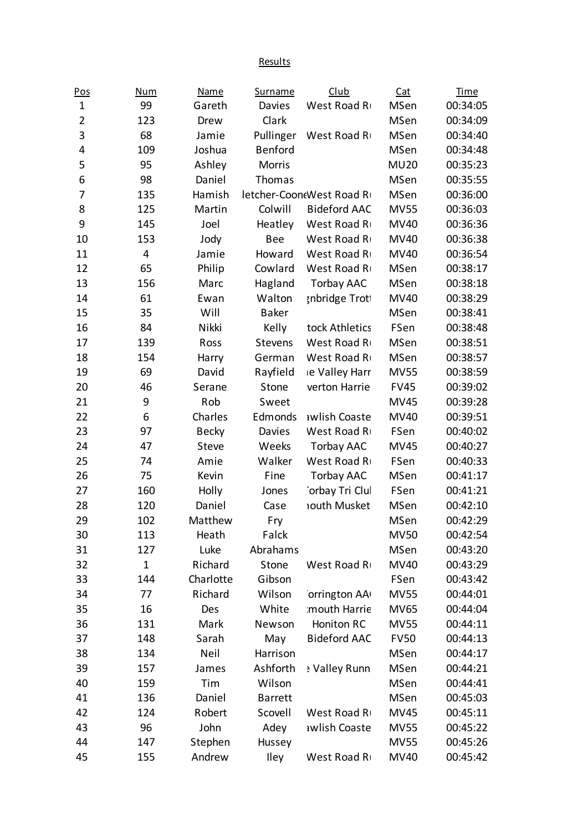**Results** 

| Pos            | Num          | <b>Name</b>  | <b>Surname</b> | <b>Club</b>              | Cat         | <b>Time</b> |
|----------------|--------------|--------------|----------------|--------------------------|-------------|-------------|
| $\mathbf 1$    | 99           | Gareth       | Davies         | West Road R              | MSen        | 00:34:05    |
| $\overline{2}$ | 123          | Drew         | Clark          |                          | MSen        | 00:34:09    |
| 3              | 68           | Jamie        | Pullinger      | West Road R              | MSen        | 00:34:40    |
| 4              | 109          | Joshua       | <b>Benford</b> |                          | MSen        | 00:34:48    |
| 5              | 95           | Ashley       | <b>Morris</b>  |                          | <b>MU20</b> | 00:35:23    |
| 6              | 98           | Daniel       | Thomas         |                          | <b>MSen</b> | 00:35:55    |
| 7              | 135          | Hamish       |                | letcher-Coon(West Road R | MSen        | 00:36:00    |
| 8              | 125          | Martin       | Colwill        | <b>Bideford AAC</b>      | <b>MV55</b> | 00:36:03    |
| 9              | 145          | Joel         | Heatley        | West Road R              | <b>MV40</b> | 00:36:36    |
| 10             | 153          | Jody         | Bee            | West Road R              | <b>MV40</b> | 00:36:38    |
| 11             | 4            | Jamie        | Howard         | West Road R              | <b>MV40</b> | 00:36:54    |
| 12             | 65           | Philip       | Cowlard        | West Road R              | MSen        | 00:38:17    |
| 13             | 156          | Marc         | Hagland        | Torbay AAC               | <b>MSen</b> | 00:38:18    |
| 14             | 61           | Ewan         | Walton         | <b>snbridge Troti</b>    | <b>MV40</b> | 00:38:29    |
| 15             | 35           | Will         | <b>Baker</b>   |                          | MSen        | 00:38:41    |
| 16             | 84           | Nikki        | Kelly          | tock Athletics           | FSen        | 00:38:48    |
| 17             | 139          | Ross         | <b>Stevens</b> | West Road R              | <b>MSen</b> | 00:38:51    |
| 18             | 154          | Harry        | German         | West Road R              | MSen        | 00:38:57    |
| 19             | 69           | David        | Rayfield       | ie Valley Harr           | <b>MV55</b> | 00:38:59    |
| 20             | 46           | Serane       | Stone          | verton Harrie            | <b>FV45</b> | 00:39:02    |
| 21             | 9            | Rob          | Sweet          |                          | <b>MV45</b> | 00:39:28    |
| 22             | 6            | Charles      | Edmonds        | awlish Coaste            | <b>MV40</b> | 00:39:51    |
| 23             | 97           | <b>Becky</b> | Davies         | West Road R              | FSen        | 00:40:02    |
| 24             | 47           | Steve        | Weeks          | <b>Torbay AAC</b>        | <b>MV45</b> | 00:40:27    |
| 25             | 74           | Amie         | Walker         | West Road R              | FSen        | 00:40:33    |
| 26             | 75           | Kevin        | Fine           | Torbay AAC               | MSen        | 00:41:17    |
| 27             | 160          | Holly        | Jones          | orbay Tri Clul           | FSen        | 00:41:21    |
| 28             | 120          | Daniel       | Case           | <b>Iouth Musket</b>      | MSen        | 00:42:10    |
| 29             | 102          | Matthew      | Fry            |                          | MSen        | 00:42:29    |
| 30             | 113          | Heath        | Falck          |                          | <b>MV50</b> | 00:42:54    |
| 31             | 127          | Luke         | Abrahams       |                          | MSen        | 00:43:20    |
| 32             | $\mathbf{1}$ | Richard      | Stone          | West Road R              | <b>MV40</b> | 00:43:29    |
| 33             | 144          | Charlotte    | Gibson         |                          | FSen        | 00:43:42    |
| 34             | 77           | Richard      | Wilson         | orrington AA             | <b>MV55</b> | 00:44:01    |
| 35             | 16           | Des          | White          | mouth Harrie             | <b>MV65</b> | 00:44:04    |
| 36             | 131          | Mark         | Newson         | Honiton RC               | <b>MV55</b> | 00:44:11    |
| 37             | 148          | Sarah        | May            | <b>Bideford AAC</b>      | <b>FV50</b> | 00:44:13    |
| 38             | 134          | Neil         | Harrison       |                          | MSen        | 00:44:17    |
| 39             | 157          | James        | Ashforth       | Valley Runn و            | MSen        | 00:44:21    |
| 40             | 159          | Tim          | Wilson         |                          | MSen        | 00:44:41    |
| 41             | 136          | Daniel       | <b>Barrett</b> |                          | MSen        | 00:45:03    |
| 42             | 124          | Robert       | Scovell        | West Road R              | <b>MV45</b> | 00:45:11    |
| 43             | 96           | John         | Adey           | awlish Coaste            | <b>MV55</b> | 00:45:22    |
| 44             | 147          | Stephen      | Hussey         |                          | <b>MV55</b> | 00:45:26    |
| 45             | 155          | Andrew       | Iley           | West Road R              | <b>MV40</b> | 00:45:42    |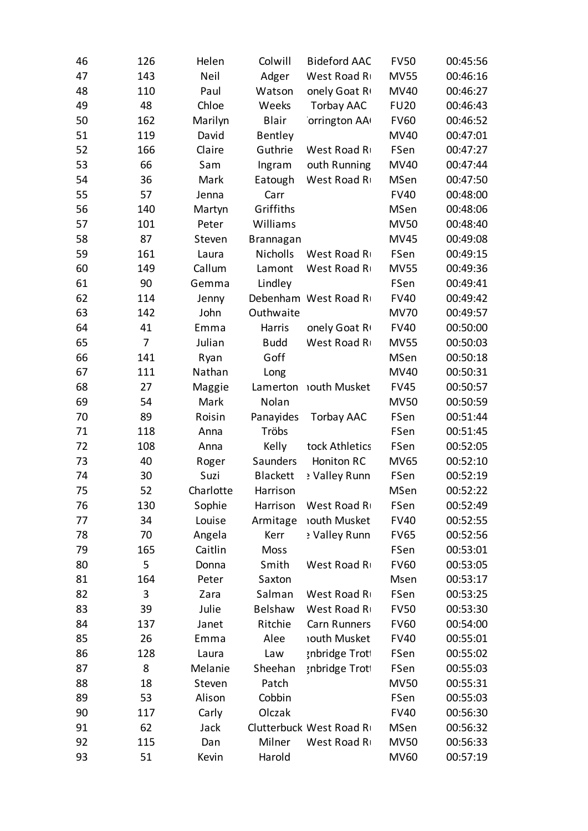| 46 | 126 | Helen     | Colwill         | <b>Bideford AAC</b>     | <b>FV50</b> | 00:45:56 |
|----|-----|-----------|-----------------|-------------------------|-------------|----------|
| 47 | 143 | Neil      | Adger           | West Road R             | <b>MV55</b> | 00:46:16 |
| 48 | 110 | Paul      | Watson          | onely Goat R            | <b>MV40</b> | 00:46:27 |
| 49 | 48  | Chloe     | Weeks           | Torbay AAC              | <b>FU20</b> | 00:46:43 |
| 50 | 162 | Marilyn   | <b>Blair</b>    | orrington AA            | <b>FV60</b> | 00:46:52 |
| 51 | 119 | David     | Bentley         |                         | <b>MV40</b> | 00:47:01 |
| 52 | 166 | Claire    | Guthrie         | West Road R             | FSen        | 00:47:27 |
| 53 | 66  | Sam       | Ingram          | outh Running            | <b>MV40</b> | 00:47:44 |
| 54 | 36  | Mark      | Eatough         | West Road R             | MSen        | 00:47:50 |
| 55 | 57  | Jenna     | Carr            |                         | <b>FV40</b> | 00:48:00 |
| 56 | 140 | Martyn    | Griffiths       |                         | MSen        | 00:48:06 |
| 57 | 101 | Peter     | Williams        |                         | <b>MV50</b> | 00:48:40 |
| 58 | 87  | Steven    | Brannagan       |                         | <b>MV45</b> | 00:49:08 |
| 59 | 161 | Laura     | Nicholls        | West Road R             | FSen        | 00:49:15 |
| 60 | 149 | Callum    | Lamont          | West Road R             | <b>MV55</b> | 00:49:36 |
| 61 | 90  | Gemma     | Lindley         |                         | FSen        | 00:49:41 |
| 62 | 114 | Jenny     |                 | Debenham West Road R    | <b>FV40</b> | 00:49:42 |
| 63 | 142 | John      | Outhwaite       |                         | <b>MV70</b> | 00:49:57 |
| 64 | 41  | Emma      | Harris          | onely Goat R            | <b>FV40</b> | 00:50:00 |
| 65 | 7   | Julian    | <b>Budd</b>     | West Road R             | <b>MV55</b> | 00:50:03 |
| 66 | 141 | Ryan      | Goff            |                         | MSen        | 00:50:18 |
| 67 | 111 | Nathan    | Long            |                         | <b>MV40</b> | 00:50:31 |
| 68 | 27  | Maggie    | Lamerton        | nouth Musket            | <b>FV45</b> | 00:50:57 |
| 69 | 54  | Mark      | Nolan           |                         | <b>MV50</b> | 00:50:59 |
| 70 | 89  | Roisin    | Panayides       | <b>Torbay AAC</b>       | FSen        | 00:51:44 |
| 71 | 118 | Anna      | Tröbs           |                         | FSen        | 00:51:45 |
| 72 | 108 | Anna      | Kelly           | tock Athletics          | FSen        | 00:52:05 |
| 73 | 40  | Roger     | Saunders        | <b>Honiton RC</b>       | <b>MV65</b> | 00:52:10 |
| 74 | 30  | Suzi      | <b>Blackett</b> | : Valley Runn           | FSen        | 00:52:19 |
| 75 | 52  | Charlotte | Harrison        |                         | MSen        | 00:52:22 |
| 76 | 130 | Sophie    | Harrison        | West Road R             | FSen        | 00:52:49 |
| 77 | 34  | Louise    | Armitage        | <b>Iouth Musket</b>     | <b>FV40</b> | 00:52:55 |
| 78 | 70  | Angela    | Kerr            | y Valley Runn           | <b>FV65</b> | 00:52:56 |
| 79 | 165 | Caitlin   | <b>Moss</b>     |                         | FSen        | 00:53:01 |
| 80 | 5   | Donna     | Smith           | West Road R             | <b>FV60</b> | 00:53:05 |
| 81 | 164 | Peter     | Saxton          |                         | Msen        | 00:53:17 |
| 82 | 3   | Zara      | Salman          | West Road R             | FSen        | 00:53:25 |
| 83 | 39  | Julie     | Belshaw         | West Road R             | <b>FV50</b> | 00:53:30 |
| 84 | 137 | Janet     | Ritchie         | Carn Runners            | <b>FV60</b> | 00:54:00 |
| 85 | 26  | Emma      | Alee            | <b>Iouth Musket</b>     | <b>FV40</b> | 00:55:01 |
| 86 | 128 | Laura     | Law             | <b>snbridge Troti</b>   | FSen        | 00:55:02 |
| 87 | 8   | Melanie   | Sheehan         | <b>snbridge Trott</b>   | FSen        | 00:55:03 |
| 88 | 18  | Steven    | Patch           |                         | <b>MV50</b> | 00:55:31 |
| 89 | 53  | Alison    | Cobbin          |                         | FSen        | 00:55:03 |
| 90 | 117 | Carly     | Olczak          |                         | <b>FV40</b> | 00:56:30 |
| 91 | 62  | Jack      |                 | Clutterbuck West Road R | MSen        | 00:56:32 |
| 92 | 115 | Dan       | Milner          | West Road R             | <b>MV50</b> | 00:56:33 |
| 93 | 51  | Kevin     | Harold          |                         | <b>MV60</b> | 00:57:19 |